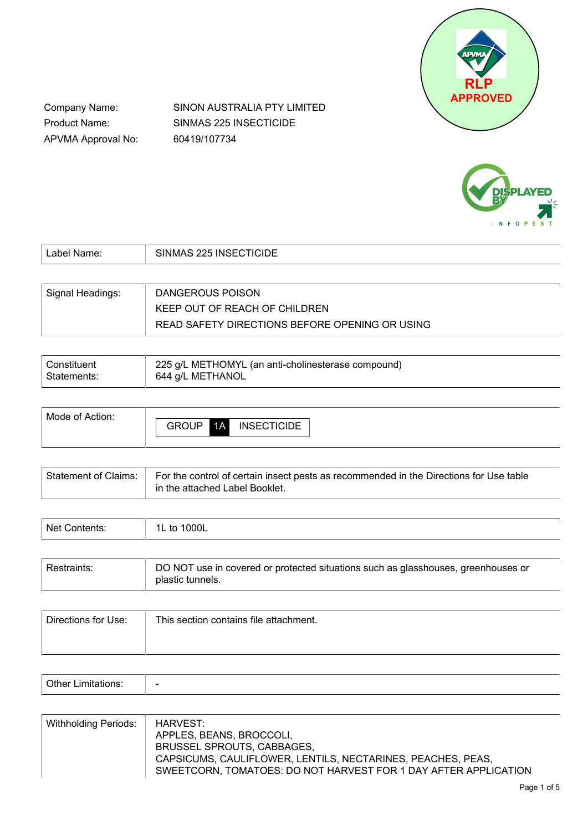

Company Name: Product Name: APVMA Approval No: SINON AUSTRALIA PTY LIMITED SINMAS 225 INSECTICIDE 60419/107734



| Label Name:      | SINMAS 225 INSECTICIDE                         |
|------------------|------------------------------------------------|
|                  |                                                |
| Signal Headings: | DANGEROUS POISON                               |
|                  | KEEP OUT OF REACH OF CHILDREN                  |
|                  | READ SAFETY DIRECTIONS BEFORE OPENING OR USING |

| Constituent | 225 g/L METHOMYL (an anti-cholinesterase compound) |
|-------------|----------------------------------------------------|
| Statements: | 644 g/L METHANOL                                   |

| Mode of Action: |              |    |                    |
|-----------------|--------------|----|--------------------|
|                 | <b>GROUP</b> | 1A | <b>INSECTICIDE</b> |
|                 |              |    |                    |

| Statement of Claims:   For the control of certain insect pests as recommended in the Directions for Use table<br>in the attached Label Booklet. |
|-------------------------------------------------------------------------------------------------------------------------------------------------|
|                                                                                                                                                 |

| Net<br>mtanta.<br>IILS. | 000L<br>1L<br>t∩<br>៶៴ |
|-------------------------|------------------------|
|                         |                        |

| l Restraints: | DO NOT use in covered or protected situations such as glasshouses, greenhouses or<br>plastic tunnels. |
|---------------|-------------------------------------------------------------------------------------------------------|
|---------------|-------------------------------------------------------------------------------------------------------|

| Directions for Use: | This section contains file attachment. |
|---------------------|----------------------------------------|
|                     |                                        |
|                     |                                        |

| -<br>- | - |
|--------|---|
|        |   |

| Withholding Periods: | HARVEST:                                                        |
|----------------------|-----------------------------------------------------------------|
|                      | APPLES, BEANS, BROCCOLI,                                        |
|                      | BRUSSEL SPROUTS, CABBAGES,                                      |
|                      | CAPSICUMS, CAULIFLOWER, LENTILS, NECTARINES, PEACHES, PEAS,     |
|                      | SWEETCORN, TOMATOES: DO NOT HARVEST FOR 1 DAY AFTER APPLICATION |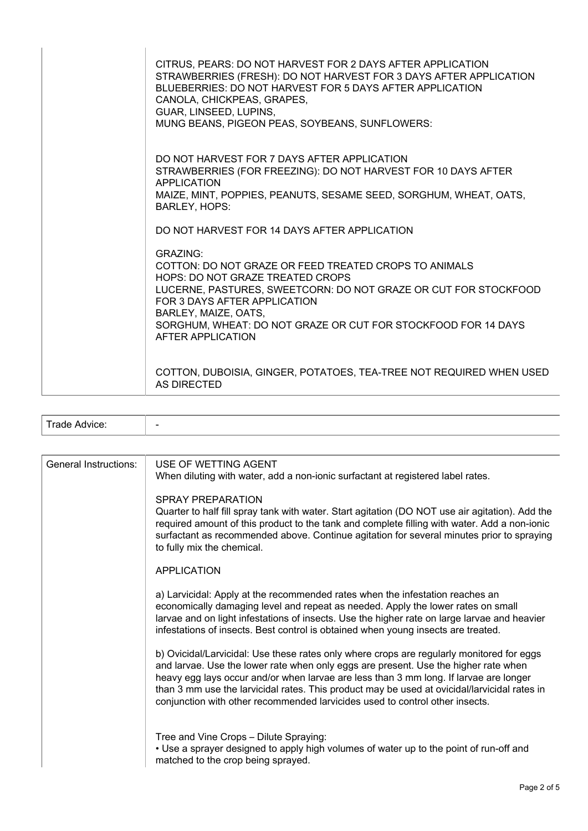| CITRUS, PEARS: DO NOT HARVEST FOR 2 DAYS AFTER APPLICATION<br>STRAWBERRIES (FRESH): DO NOT HARVEST FOR 3 DAYS AFTER APPLICATION<br>BLUEBERRIES: DO NOT HARVEST FOR 5 DAYS AFTER APPLICATION<br>CANOLA, CHICKPEAS, GRAPES,<br>GUAR, LINSEED, LUPINS,<br>MUNG BEANS, PIGEON PEAS, SOYBEANS, SUNFLOWERS:                         |
|-------------------------------------------------------------------------------------------------------------------------------------------------------------------------------------------------------------------------------------------------------------------------------------------------------------------------------|
| DO NOT HARVEST FOR 7 DAYS AFTER APPLICATION<br>STRAWBERRIES (FOR FREEZING): DO NOT HARVEST FOR 10 DAYS AFTER<br>APPLICATION<br>MAIZE, MINT, POPPIES, PEANUTS, SESAME SEED, SORGHUM, WHEAT, OATS,<br><b>BARLEY, HOPS:</b><br>DO NOT HARVEST FOR 14 DAYS AFTER APPLICATION                                                      |
| <b>GRAZING:</b><br>COTTON: DO NOT GRAZE OR FEED TREATED CROPS TO ANIMALS<br>HOPS: DO NOT GRAZE TREATED CROPS<br>LUCERNE, PASTURES, SWEETCORN: DO NOT GRAZE OR CUT FOR STOCKFOOD<br>FOR 3 DAYS AFTER APPLICATION<br>BARLEY, MAIZE, OATS,<br>SORGHUM, WHEAT: DO NOT GRAZE OR CUT FOR STOCKFOOD FOR 14 DAYS<br>AFTER APPLICATION |
| COTTON, DUBOISIA, GINGER, POTATOES, TEA-TREE NOT REQUIRED WHEN USED<br><b>AS DIRECTED</b>                                                                                                                                                                                                                                     |

| Trade Advice:         |                                                                                                                                                                                                                                                                                                                                                                                                                                                           |
|-----------------------|-----------------------------------------------------------------------------------------------------------------------------------------------------------------------------------------------------------------------------------------------------------------------------------------------------------------------------------------------------------------------------------------------------------------------------------------------------------|
|                       |                                                                                                                                                                                                                                                                                                                                                                                                                                                           |
| General Instructions: | USE OF WETTING AGENT<br>When diluting with water, add a non-ionic surfactant at registered label rates.                                                                                                                                                                                                                                                                                                                                                   |
|                       | SPRAY PREPARATION<br>Quarter to half fill spray tank with water. Start agitation (DO NOT use air agitation). Add the<br>required amount of this product to the tank and complete filling with water. Add a non-ionic<br>surfactant as recommended above. Continue agitation for several minutes prior to spraying<br>to fully mix the chemical.                                                                                                           |
|                       | <b>APPLICATION</b>                                                                                                                                                                                                                                                                                                                                                                                                                                        |
|                       | a) Larvicidal: Apply at the recommended rates when the infestation reaches an<br>economically damaging level and repeat as needed. Apply the lower rates on small<br>larvae and on light infestations of insects. Use the higher rate on large larvae and heavier<br>infestations of insects. Best control is obtained when young insects are treated.                                                                                                    |
|                       | b) Ovicidal/Larvicidal: Use these rates only where crops are regularly monitored for eggs<br>and larvae. Use the lower rate when only eggs are present. Use the higher rate when<br>heavy egg lays occur and/or when larvae are less than 3 mm long. If larvae are longer<br>than 3 mm use the larvicidal rates. This product may be used at ovicidal/larvicidal rates in<br>conjunction with other recommended larvicides used to control other insects. |
|                       | Tree and Vine Crops - Dilute Spraying:<br>• Use a sprayer designed to apply high volumes of water up to the point of run-off and<br>matched to the crop being sprayed.                                                                                                                                                                                                                                                                                    |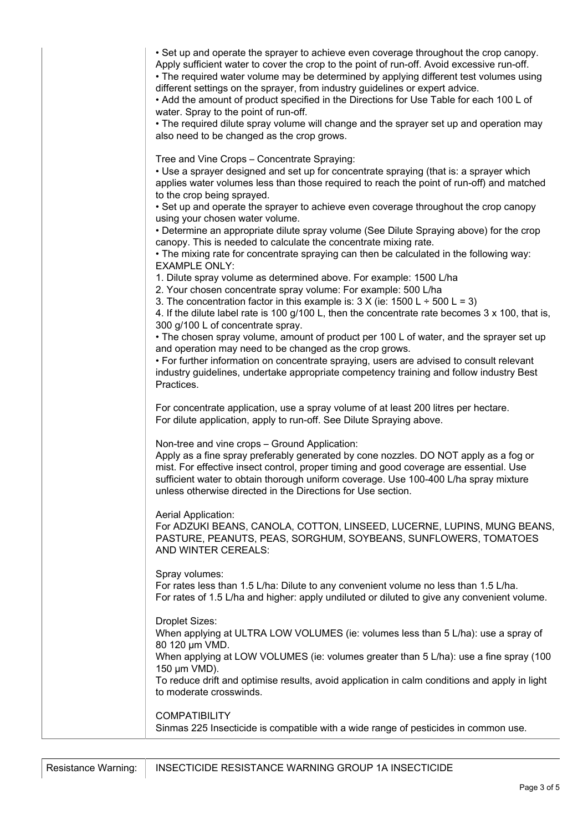• Set up and operate the sprayer to achieve even coverage throughout the crop canopy.

Apply sufficient water to cover the crop to the point of run-off. Avoid excessive run-off.

• The required water volume may be determined by applying different test volumes using different settings on the sprayer, from industry guidelines or expert advice.

• Add the amount of product specified in the Directions for Use Table for each 100 L of water. Spray to the point of run-off.

• The required dilute spray volume will change and the sprayer set up and operation may also need to be changed as the crop grows.

Tree and Vine Crops – Concentrate Spraying:

• Use a sprayer designed and set up for concentrate spraying (that is: a sprayer which applies water volumes less than those required to reach the point of run-off) and matched to the crop being sprayed.

• Set up and operate the sprayer to achieve even coverage throughout the crop canopy using your chosen water volume.

• Determine an appropriate dilute spray volume (See Dilute Spraying above) for the crop canopy. This is needed to calculate the concentrate mixing rate.

• The mixing rate for concentrate spraying can then be calculated in the following way: EXAMPLE ONLY:

1. Dilute spray volume as determined above. For example: 1500 L/ha

2. Your chosen concentrate spray volume: For example: 500 L/ha

3. The concentration factor in this example is:  $3 \times$  (ie:  $1500 \text{ L} \div 500 \text{ L} = 3$ )

4. If the dilute label rate is 100 g/100 L, then the concentrate rate becomes 3 x 100, that is, 300 g/100 L of concentrate spray.

• The chosen spray volume, amount of product per 100 L of water, and the sprayer set up and operation may need to be changed as the crop grows.

• For further information on concentrate spraying, users are advised to consult relevant industry guidelines, undertake appropriate competency training and follow industry Best Practices.

For concentrate application, use a spray volume of at least 200 litres per hectare. For dilute application, apply to run-off. See Dilute Spraying above.

Non-tree and vine crops – Ground Application:

Apply as a fine spray preferably generated by cone nozzles. DO NOT apply as a fog or mist. For effective insect control, proper timing and good coverage are essential. Use sufficient water to obtain thorough uniform coverage. Use 100-400 L/ha spray mixture unless otherwise directed in the Directions for Use section.

Aerial Application:

For ADZUKI BEANS, CANOLA, COTTON, LINSEED, LUCERNE, LUPINS, MUNG BEANS, PASTURE, PEANUTS, PEAS, SORGHUM, SOYBEANS, SUNFLOWERS, TOMATOES AND WINTER CEREALS:

Spray volumes:

For rates less than 1.5 L/ha: Dilute to any convenient volume no less than 1.5 L/ha. For rates of 1.5 L/ha and higher: apply undiluted or diluted to give any convenient volume.

Droplet Sizes:

When applying at ULTRA LOW VOLUMES (ie: volumes less than 5 L/ha): use a spray of 80 120 µm VMD.

When applying at LOW VOLUMES (ie: volumes greater than 5 L/ha): use a fine spray (100 150 µm VMD).

To reduce drift and optimise results, avoid application in calm conditions and apply in light to moderate crosswinds.

**COMPATIBILITY** Sinmas 225 Insecticide is compatible with a wide range of pesticides in common use.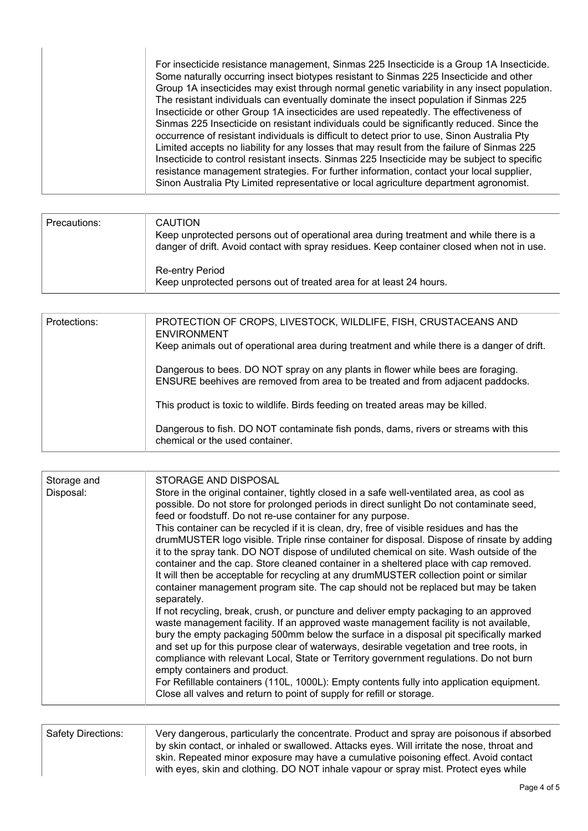|  | For insecticide resistance management, Sinmas 225 Insecticide is a Group 1A Insecticide.<br>Some naturally occurring insect biotypes resistant to Sinmas 225 Insecticide and other<br>Group 1A insecticides may exist through normal genetic variability in any insect population.<br>The resistant individuals can eventually dominate the insect population if Sinmas 225<br>Insecticide or other Group 1A insecticides are used repeatedly. The effectiveness of<br>Sinmas 225 Insecticide on resistant individuals could be significantly reduced. Since the<br>occurrence of resistant individuals is difficult to detect prior to use, Sinon Australia Pty<br>Limited accepts no liability for any losses that may result from the failure of Sinmas 225<br>Insecticide to control resistant insects. Sinmas 225 Insecticide may be subject to specific<br>resistance management strategies. For further information, contact your local supplier,<br>Sinon Australia Pty Limited representative or local agriculture department agronomist. |
|--|----------------------------------------------------------------------------------------------------------------------------------------------------------------------------------------------------------------------------------------------------------------------------------------------------------------------------------------------------------------------------------------------------------------------------------------------------------------------------------------------------------------------------------------------------------------------------------------------------------------------------------------------------------------------------------------------------------------------------------------------------------------------------------------------------------------------------------------------------------------------------------------------------------------------------------------------------------------------------------------------------------------------------------------------------|
|--|----------------------------------------------------------------------------------------------------------------------------------------------------------------------------------------------------------------------------------------------------------------------------------------------------------------------------------------------------------------------------------------------------------------------------------------------------------------------------------------------------------------------------------------------------------------------------------------------------------------------------------------------------------------------------------------------------------------------------------------------------------------------------------------------------------------------------------------------------------------------------------------------------------------------------------------------------------------------------------------------------------------------------------------------------|

| Precautions: | <b>CAUTION</b><br>Keep unprotected persons out of operational area during treatment and while there is a<br>danger of drift. Avoid contact with spray residues. Keep container closed when not in use. |
|--------------|--------------------------------------------------------------------------------------------------------------------------------------------------------------------------------------------------------|
|              | Re-entry Period<br>Keep unprotected persons out of treated area for at least 24 hours.                                                                                                                 |

| Protections: | PROTECTION OF CROPS, LIVESTOCK, WILDLIFE, FISH, CRUSTACEANS AND<br><b>ENVIRONMENT</b>                                                                               |
|--------------|---------------------------------------------------------------------------------------------------------------------------------------------------------------------|
|              | Keep animals out of operational area during treatment and while there is a danger of drift.                                                                         |
|              | Dangerous to bees. DO NOT spray on any plants in flower while bees are foraging.<br>ENSURE beehives are removed from area to be treated and from adjacent paddocks. |
|              | This product is toxic to wildlife. Birds feeding on treated areas may be killed.                                                                                    |
|              | Dangerous to fish. DO NOT contaminate fish ponds, dams, rivers or streams with this<br>chemical or the used container.                                              |

| Storage and<br>Disposal: | STORAGE AND DISPOSAL<br>Store in the original container, tightly closed in a safe well-ventilated area, as cool as<br>possible. Do not store for prolonged periods in direct sunlight Do not contaminate seed,<br>feed or foodstuff. Do not re-use container for any purpose.<br>This container can be recycled if it is clean, dry, free of visible residues and has the<br>drumMUSTER logo visible. Triple rinse container for disposal. Dispose of rinsate by adding<br>it to the spray tank. DO NOT dispose of undiluted chemical on site. Wash outside of the<br>container and the cap. Store cleaned container in a sheltered place with cap removed.<br>It will then be acceptable for recycling at any drumMUSTER collection point or similar<br>container management program site. The cap should not be replaced but may be taken<br>separately. |
|--------------------------|------------------------------------------------------------------------------------------------------------------------------------------------------------------------------------------------------------------------------------------------------------------------------------------------------------------------------------------------------------------------------------------------------------------------------------------------------------------------------------------------------------------------------------------------------------------------------------------------------------------------------------------------------------------------------------------------------------------------------------------------------------------------------------------------------------------------------------------------------------|
|                          | If not recycling, break, crush, or puncture and deliver empty packaging to an approved<br>waste management facility. If an approved waste management facility is not available,<br>bury the empty packaging 500mm below the surface in a disposal pit specifically marked<br>and set up for this purpose clear of waterways, desirable vegetation and tree roots, in<br>compliance with relevant Local, State or Territory government regulations. Do not burn<br>empty containers and product.<br>For Refillable containers (110L, 1000L): Empty contents fully into application equipment.<br>Close all valves and return to point of supply for refill or storage.                                                                                                                                                                                      |

| <b>Safety Directions:</b> | Very dangerous, particularly the concentrate. Product and spray are poisonous if absorbed  |
|---------------------------|--------------------------------------------------------------------------------------------|
|                           | by skin contact, or inhaled or swallowed. Attacks eyes. Will irritate the nose, throat and |
|                           | skin. Repeated minor exposure may have a cumulative poisoning effect. Avoid contact        |
|                           | with eyes, skin and clothing. DO NOT inhale vapour or spray mist. Protect eyes while       |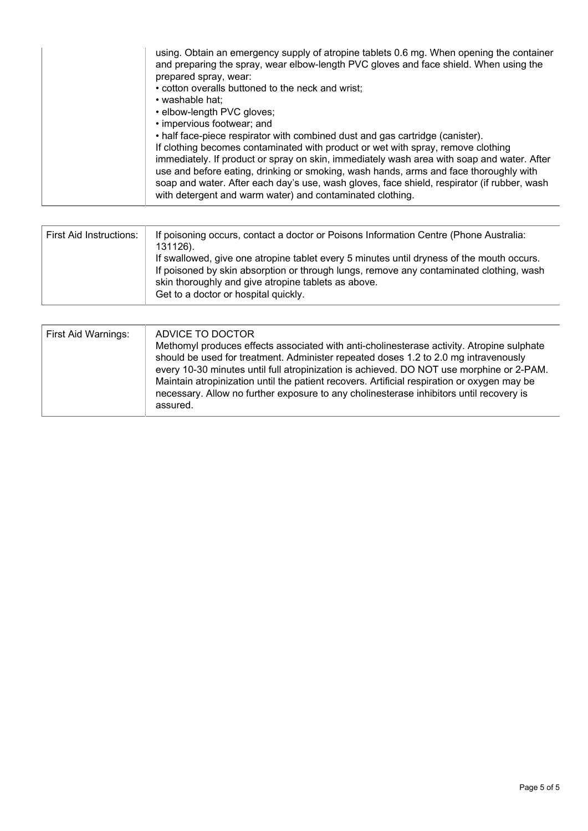| using. Obtain an emergency supply of atropine tablets 0.6 mg. When opening the container<br>and preparing the spray, wear elbow-length PVC gloves and face shield. When using the<br>prepared spray, wear:<br>• cotton overalls buttoned to the neck and wrist;<br>• washable hat:<br>• elbow-length PVC gloves;<br>• impervious footwear; and<br>• half face-piece respirator with combined dust and gas cartridge (canister).<br>If clothing becomes contaminated with product or wet with spray, remove clothing<br>immediately. If product or spray on skin, immediately wash area with soap and water. After<br>use and before eating, drinking or smoking, wash hands, arms and face thoroughly with<br>soap and water. After each day's use, wash gloves, face shield, respirator (if rubber, wash |
|-----------------------------------------------------------------------------------------------------------------------------------------------------------------------------------------------------------------------------------------------------------------------------------------------------------------------------------------------------------------------------------------------------------------------------------------------------------------------------------------------------------------------------------------------------------------------------------------------------------------------------------------------------------------------------------------------------------------------------------------------------------------------------------------------------------|
| with detergent and warm water) and contaminated clothing.                                                                                                                                                                                                                                                                                                                                                                                                                                                                                                                                                                                                                                                                                                                                                 |

| First Aid Instructions: | If poisoning occurs, contact a doctor or Poisons Information Centre (Phone Australia:<br>131126).<br>If swallowed, give one atropine tablet every 5 minutes until dryness of the mouth occurs.<br>If poisoned by skin absorption or through lungs, remove any contaminated clothing, wash<br>skin thoroughly and give atropine tablets as above.<br>Get to a doctor or hospital quickly. |
|-------------------------|------------------------------------------------------------------------------------------------------------------------------------------------------------------------------------------------------------------------------------------------------------------------------------------------------------------------------------------------------------------------------------------|
|-------------------------|------------------------------------------------------------------------------------------------------------------------------------------------------------------------------------------------------------------------------------------------------------------------------------------------------------------------------------------------------------------------------------------|

| First Aid Warnings: | ADVICE TO DOCTOR<br>Methomyl produces effects associated with anti-cholinesterase activity. Atropine sulphate<br>should be used for treatment. Administer repeated doses 1.2 to 2.0 mg intravenously<br>every 10-30 minutes until full atropinization is achieved. DO NOT use morphine or 2-PAM.<br>Maintain atropinization until the patient recovers. Artificial respiration or oxygen may be<br>necessary. Allow no further exposure to any cholinesterase inhibitors until recovery is<br>assured. |
|---------------------|--------------------------------------------------------------------------------------------------------------------------------------------------------------------------------------------------------------------------------------------------------------------------------------------------------------------------------------------------------------------------------------------------------------------------------------------------------------------------------------------------------|
|---------------------|--------------------------------------------------------------------------------------------------------------------------------------------------------------------------------------------------------------------------------------------------------------------------------------------------------------------------------------------------------------------------------------------------------------------------------------------------------------------------------------------------------|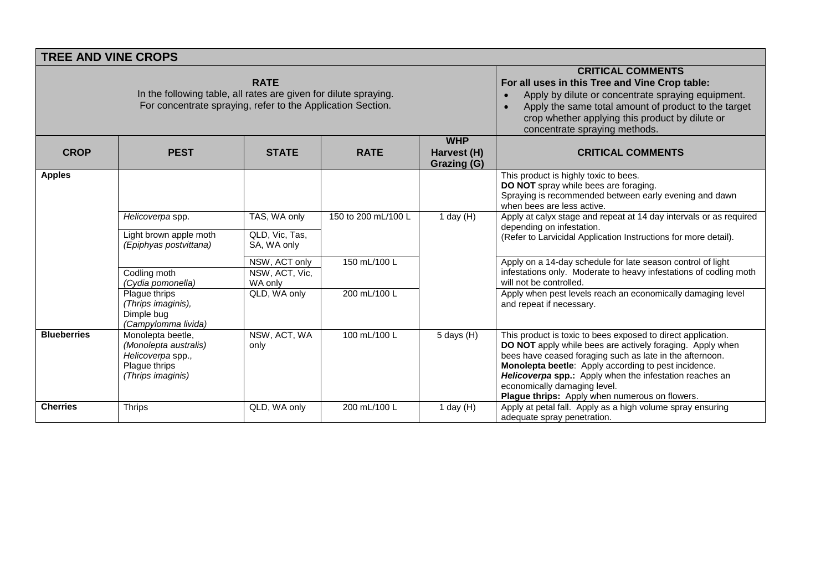|                                                                                                                                                | <b>TREE AND VINE CROPS</b>                                                                            |                                               |                     |                                          |                                                                                                                                                                                                                                                                                                                                                                                            |
|------------------------------------------------------------------------------------------------------------------------------------------------|-------------------------------------------------------------------------------------------------------|-----------------------------------------------|---------------------|------------------------------------------|--------------------------------------------------------------------------------------------------------------------------------------------------------------------------------------------------------------------------------------------------------------------------------------------------------------------------------------------------------------------------------------------|
| <b>RATE</b><br>In the following table, all rates are given for dilute spraying.<br>For concentrate spraying, refer to the Application Section. |                                                                                                       |                                               |                     |                                          | <b>CRITICAL COMMENTS</b><br>For all uses in this Tree and Vine Crop table:<br>Apply by dilute or concentrate spraying equipment.<br>Apply the same total amount of product to the target<br>$\bullet$<br>crop whether applying this product by dilute or<br>concentrate spraying methods.                                                                                                  |
| <b>CROP</b>                                                                                                                                    | <b>PEST</b>                                                                                           | <b>STATE</b>                                  | <b>RATE</b>         | <b>WHP</b><br>Harvest (H)<br>Grazing (G) | <b>CRITICAL COMMENTS</b>                                                                                                                                                                                                                                                                                                                                                                   |
| <b>Apples</b>                                                                                                                                  |                                                                                                       |                                               |                     |                                          | This product is highly toxic to bees.<br>DO NOT spray while bees are foraging.<br>Spraying is recommended between early evening and dawn<br>when bees are less active.                                                                                                                                                                                                                     |
|                                                                                                                                                | Helicoverpa spp.<br>Light brown apple moth<br>(Epiphyas postvittana)                                  | TAS, WA only<br>QLD, Vic, Tas,<br>SA, WA only | 150 to 200 mL/100 L | 1 day $(H)$                              | Apply at calyx stage and repeat at 14 day intervals or as required<br>depending on infestation.<br>(Refer to Larvicidal Application Instructions for more detail).                                                                                                                                                                                                                         |
|                                                                                                                                                | Codling moth<br>(Cydia pomonella)                                                                     | NSW, ACT only<br>NSW, ACT, Vic,<br>WA only    | 150 mL/100 L        |                                          | Apply on a 14-day schedule for late season control of light<br>infestations only. Moderate to heavy infestations of codling moth<br>will not be controlled.                                                                                                                                                                                                                                |
|                                                                                                                                                | Plague thrips<br>(Thrips imaginis),<br>Dimple bug<br>(Campylomma livida)                              | QLD, WA only                                  | 200 mL/100 L        |                                          | Apply when pest levels reach an economically damaging level<br>and repeat if necessary.                                                                                                                                                                                                                                                                                                    |
| <b>Blueberries</b>                                                                                                                             | Monolepta beetle,<br>(Monolepta australis)<br>Helicoverpa spp.,<br>Plague thrips<br>(Thrips imaginis) | NSW, ACT, WA<br>only                          | 100 mL/100 L        | $5$ days $(H)$                           | This product is toxic to bees exposed to direct application.<br>DO NOT apply while bees are actively foraging. Apply when<br>bees have ceased foraging such as late in the afternoon.<br>Monolepta beetle: Apply according to pest incidence.<br>Helicoverpa spp.: Apply when the infestation reaches an<br>economically damaging level.<br>Plague thrips: Apply when numerous on flowers. |
| <b>Cherries</b>                                                                                                                                | <b>Thrips</b>                                                                                         | QLD, WA only                                  | 200 mL/100 L        | 1 day $(H)$                              | Apply at petal fall. Apply as a high volume spray ensuring<br>adequate spray penetration.                                                                                                                                                                                                                                                                                                  |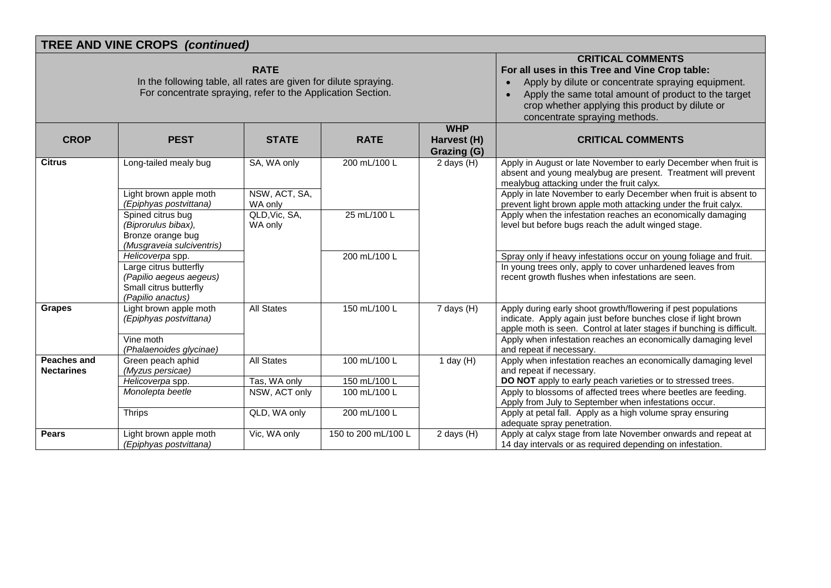|                                  | <b>TREE AND VINE CROPS (continued)</b>                                                                                          |                                                                                                                                                                                                                                                                                                        |                     |                                          |                                                                                                                                                                                                          |
|----------------------------------|---------------------------------------------------------------------------------------------------------------------------------|--------------------------------------------------------------------------------------------------------------------------------------------------------------------------------------------------------------------------------------------------------------------------------------------------------|---------------------|------------------------------------------|----------------------------------------------------------------------------------------------------------------------------------------------------------------------------------------------------------|
|                                  | In the following table, all rates are given for dilute spraying.<br>For concentrate spraying, refer to the Application Section. | <b>CRITICAL COMMENTS</b><br>For all uses in this Tree and Vine Crop table:<br>Apply by dilute or concentrate spraying equipment.<br>$\bullet$<br>Apply the same total amount of product to the target<br>$\bullet$<br>crop whether applying this product by dilute or<br>concentrate spraying methods. |                     |                                          |                                                                                                                                                                                                          |
| <b>CROP</b>                      | <b>PEST</b>                                                                                                                     | <b>STATE</b>                                                                                                                                                                                                                                                                                           | <b>RATE</b>         | <b>WHP</b><br>Harvest (H)<br>Grazing (G) | <b>CRITICAL COMMENTS</b>                                                                                                                                                                                 |
| <b>Citrus</b>                    | Long-tailed mealy bug                                                                                                           | SA, WA only                                                                                                                                                                                                                                                                                            | 200 mL/100 L        | 2 days $(H)$                             | Apply in August or late November to early December when fruit is<br>absent and young mealybug are present. Treatment will prevent<br>mealybug attacking under the fruit calyx.                           |
|                                  | Light brown apple moth<br>(Epiphyas postvittana)                                                                                | NSW, ACT, SA,<br>WA only                                                                                                                                                                                                                                                                               |                     |                                          | Apply in late November to early December when fruit is absent to<br>prevent light brown apple moth attacking under the fruit calyx.                                                                      |
|                                  | Spined citrus bug<br>(Biprorulus bibax),<br>Bronze orange bug<br>(Musgraveia sulciventris)                                      | QLD, Vic, SA,<br>WA only                                                                                                                                                                                                                                                                               | 25 mL/100 L         |                                          | Apply when the infestation reaches an economically damaging<br>level but before bugs reach the adult winged stage.                                                                                       |
|                                  | Helicoverpa spp.                                                                                                                |                                                                                                                                                                                                                                                                                                        | 200 mL/100 L        |                                          | Spray only if heavy infestations occur on young foliage and fruit.                                                                                                                                       |
|                                  | Large citrus butterfly<br>(Papilio aegeus aegeus)<br>Small citrus butterfly<br>(Papilio anactus)                                |                                                                                                                                                                                                                                                                                                        |                     |                                          | In young trees only, apply to cover unhardened leaves from<br>recent growth flushes when infestations are seen.                                                                                          |
| <b>Grapes</b>                    | Light brown apple moth<br>(Epiphyas postvittana)                                                                                | <b>All States</b>                                                                                                                                                                                                                                                                                      | 150 mL/100 L        | $7$ days $(H)$                           | Apply during early shoot growth/flowering if pest populations<br>indicate. Apply again just before bunches close if light brown<br>apple moth is seen. Control at later stages if bunching is difficult. |
|                                  | Vine moth<br>(Phalaenoides glycinae)                                                                                            |                                                                                                                                                                                                                                                                                                        |                     |                                          | Apply when infestation reaches an economically damaging level<br>and repeat if necessary.                                                                                                                |
| Peaches and<br><b>Nectarines</b> | Green peach aphid<br>(Myzus persicae)                                                                                           | <b>All States</b>                                                                                                                                                                                                                                                                                      | 100 mL/100 L        | 1 day $(H)$                              | Apply when infestation reaches an economically damaging level<br>and repeat if necessary.                                                                                                                |
|                                  | Helicoverpa spp.                                                                                                                | Tas, WA only                                                                                                                                                                                                                                                                                           | 150 mL/100 L        |                                          | DO NOT apply to early peach varieties or to stressed trees.                                                                                                                                              |
|                                  | Monolepta beetle                                                                                                                | NSW, ACT only                                                                                                                                                                                                                                                                                          | 100 mL/100 L        |                                          | Apply to blossoms of affected trees where beetles are feeding.<br>Apply from July to September when infestations occur.                                                                                  |
|                                  | <b>Thrips</b>                                                                                                                   | QLD, WA only                                                                                                                                                                                                                                                                                           | 200 mL/100 L        |                                          | Apply at petal fall. Apply as a high volume spray ensuring<br>adequate spray penetration.                                                                                                                |
| <b>Pears</b>                     | Light brown apple moth<br>(Epiphyas postvittana)                                                                                | Vic, WA only                                                                                                                                                                                                                                                                                           | 150 to 200 mL/100 L | 2 days $(H)$                             | Apply at calyx stage from late November onwards and repeat at<br>14 day intervals or as required depending on infestation.                                                                               |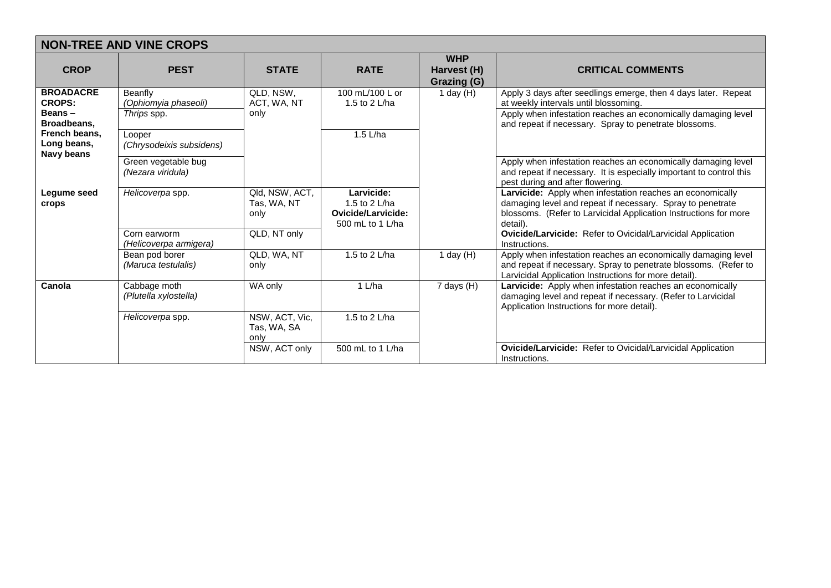| <b>NON-TREE AND VINE CROPS</b>                                                                            |                                                |                                       |                                                                                |                                          |                                                                                                                                                                                                                                   |  |
|-----------------------------------------------------------------------------------------------------------|------------------------------------------------|---------------------------------------|--------------------------------------------------------------------------------|------------------------------------------|-----------------------------------------------------------------------------------------------------------------------------------------------------------------------------------------------------------------------------------|--|
| <b>CROP</b>                                                                                               | <b>PEST</b>                                    | <b>STATE</b>                          | <b>RATE</b>                                                                    | <b>WHP</b><br>Harvest (H)<br>Grazing (G) | <b>CRITICAL COMMENTS</b>                                                                                                                                                                                                          |  |
| <b>BROADACRE</b><br><b>CROPS:</b><br>Beans -<br>Broadbeans.<br>French beans.<br>Long beans,<br>Navy beans | Beanfly<br>(Ophiomyia phaseoli)<br>Thrips spp. | QLD, NSW,<br>ACT, WA, NT<br>only      | 100 mL/100 L or<br>1.5 to 2 L/ha                                               | 1 day (H)                                | Apply 3 days after seedlings emerge, then 4 days later. Repeat<br>at weekly intervals until blossoming.<br>Apply when infestation reaches an economically damaging level<br>and repeat if necessary. Spray to penetrate blossoms. |  |
|                                                                                                           | Looper<br>(Chrysodeixis subsidens)             |                                       | $1.5$ L/ha                                                                     |                                          |                                                                                                                                                                                                                                   |  |
|                                                                                                           | Green vegetable bug<br>(Nezara viridula)       |                                       |                                                                                |                                          | Apply when infestation reaches an economically damaging level<br>and repeat if necessary. It is especially important to control this<br>pest during and after flowering.                                                          |  |
| Legume seed<br>crops                                                                                      | Helicoverpa spp.                               | Qld, NSW, ACT,<br>Tas, WA, NT<br>only | Larvicide:<br>1.5 to 2 $L/ha$<br><b>Ovicide/Larvicide:</b><br>500 mL to 1 L/ha |                                          | Larvicide: Apply when infestation reaches an economically<br>damaging level and repeat if necessary. Spray to penetrate<br>blossoms. (Refer to Larvicidal Application Instructions for more<br>detail).                           |  |
|                                                                                                           | Corn earworm<br>(Helicoverpa armigera)         | QLD, NT only                          |                                                                                |                                          | Ovicide/Larvicide: Refer to Ovicidal/Larvicidal Application<br>Instructions.                                                                                                                                                      |  |
|                                                                                                           | Bean pod borer<br>(Maruca testulalis)          | QLD, WA, NT<br>only                   | 1.5 to 2 L/ha                                                                  | 1 day $(H)$                              | Apply when infestation reaches an economically damaging level<br>and repeat if necessary. Spray to penetrate blossoms. (Refer to<br>Larvicidal Application Instructions for more detail).                                         |  |
| Canola                                                                                                    | Cabbage moth<br>(Plutella xylostella)          | WA only                               | 1 L/ha                                                                         | 7 days (H)                               | Larvicide: Apply when infestation reaches an economically<br>damaging level and repeat if necessary. (Refer to Larvicidal<br>Application Instructions for more detail).                                                           |  |
|                                                                                                           | Helicoverpa spp.                               | NSW, ACT, Vic,<br>Tas, WA, SA<br>only | 1.5 to 2 L/ha                                                                  |                                          |                                                                                                                                                                                                                                   |  |
|                                                                                                           |                                                | NSW, ACT only                         | 500 mL to 1 L/ha                                                               |                                          | Ovicide/Larvicide: Refer to Ovicidal/Larvicidal Application<br>Instructions.                                                                                                                                                      |  |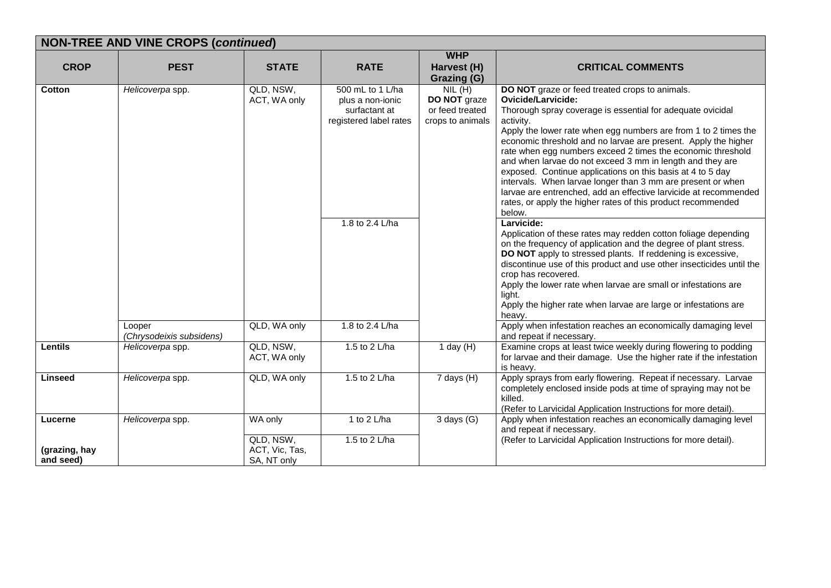|                                       | <b>NON-TREE AND VINE CROPS (continued)</b> |                                                       |                                                                                                    |                                                               |                                                                                                                                                                                                                                                                                                                                                                                                                                                                                                                                                                                                                                                                                                                                                                                                                                                                                                                                                                                                                                                                                                                                                                    |  |  |
|---------------------------------------|--------------------------------------------|-------------------------------------------------------|----------------------------------------------------------------------------------------------------|---------------------------------------------------------------|--------------------------------------------------------------------------------------------------------------------------------------------------------------------------------------------------------------------------------------------------------------------------------------------------------------------------------------------------------------------------------------------------------------------------------------------------------------------------------------------------------------------------------------------------------------------------------------------------------------------------------------------------------------------------------------------------------------------------------------------------------------------------------------------------------------------------------------------------------------------------------------------------------------------------------------------------------------------------------------------------------------------------------------------------------------------------------------------------------------------------------------------------------------------|--|--|
| <b>CROP</b>                           | <b>PEST</b>                                | <b>STATE</b>                                          | <b>RATE</b>                                                                                        | <b>WHP</b><br>Harvest (H)<br><b>Grazing (G)</b>               | <b>CRITICAL COMMENTS</b>                                                                                                                                                                                                                                                                                                                                                                                                                                                                                                                                                                                                                                                                                                                                                                                                                                                                                                                                                                                                                                                                                                                                           |  |  |
| Cotton                                | Helicoverpa spp.                           | QLD, NSW,<br>ACT, WA only                             | 500 mL to 1 L/ha<br>plus a non-ionic<br>surfactant at<br>registered label rates<br>1.8 to 2.4 L/ha | NIL(H)<br>DO NOT graze<br>or feed treated<br>crops to animals | DO NOT graze or feed treated crops to animals.<br><b>Ovicide/Larvicide:</b><br>Thorough spray coverage is essential for adequate ovicidal<br>activity.<br>Apply the lower rate when egg numbers are from 1 to 2 times the<br>economic threshold and no larvae are present. Apply the higher<br>rate when egg numbers exceed 2 times the economic threshold<br>and when larvae do not exceed 3 mm in length and they are<br>exposed. Continue applications on this basis at 4 to 5 day<br>intervals. When larvae longer than 3 mm are present or when<br>larvae are entrenched, add an effective larvicide at recommended<br>rates, or apply the higher rates of this product recommended<br>below.<br>Larvicide:<br>Application of these rates may redden cotton foliage depending<br>on the frequency of application and the degree of plant stress.<br>DO NOT apply to stressed plants. If reddening is excessive,<br>discontinue use of this product and use other insecticides until the<br>crop has recovered.<br>Apply the lower rate when larvae are small or infestations are<br>light.<br>Apply the higher rate when larvae are large or infestations are |  |  |
|                                       | Looper<br>(Chrysodeixis subsidens)         | QLD, WA only                                          | 1.8 to 2.4 L/ha                                                                                    |                                                               | heavy.<br>Apply when infestation reaches an economically damaging level<br>and repeat if necessary.                                                                                                                                                                                                                                                                                                                                                                                                                                                                                                                                                                                                                                                                                                                                                                                                                                                                                                                                                                                                                                                                |  |  |
| Lentils                               | Helicoverpa spp.                           | QLD, NSW,<br>ACT, WA only                             | 1.5 to 2 L/ha                                                                                      | 1 day $(H)$                                                   | Examine crops at least twice weekly during flowering to podding<br>for larvae and their damage. Use the higher rate if the infestation<br>is heavy.                                                                                                                                                                                                                                                                                                                                                                                                                                                                                                                                                                                                                                                                                                                                                                                                                                                                                                                                                                                                                |  |  |
| <b>Linseed</b>                        | Helicoverpa spp.                           | QLD, WA only                                          | 1.5 to 2 L/ha                                                                                      | $7$ days $(H)$                                                | Apply sprays from early flowering. Repeat if necessary. Larvae<br>completely enclosed inside pods at time of spraying may not be<br>killed.<br>(Refer to Larvicidal Application Instructions for more detail).                                                                                                                                                                                                                                                                                                                                                                                                                                                                                                                                                                                                                                                                                                                                                                                                                                                                                                                                                     |  |  |
| Lucerne<br>(grazing, hay<br>and seed) | Helicoverpa spp.                           | WA only<br>QLD, NSW,<br>ACT, Vic, Tas,<br>SA, NT only | 1 to 2 L/ha<br>1.5 to 2 L/ha                                                                       | $3$ days $(G)$                                                | Apply when infestation reaches an economically damaging level<br>and repeat if necessary.<br>(Refer to Larvicidal Application Instructions for more detail).                                                                                                                                                                                                                                                                                                                                                                                                                                                                                                                                                                                                                                                                                                                                                                                                                                                                                                                                                                                                       |  |  |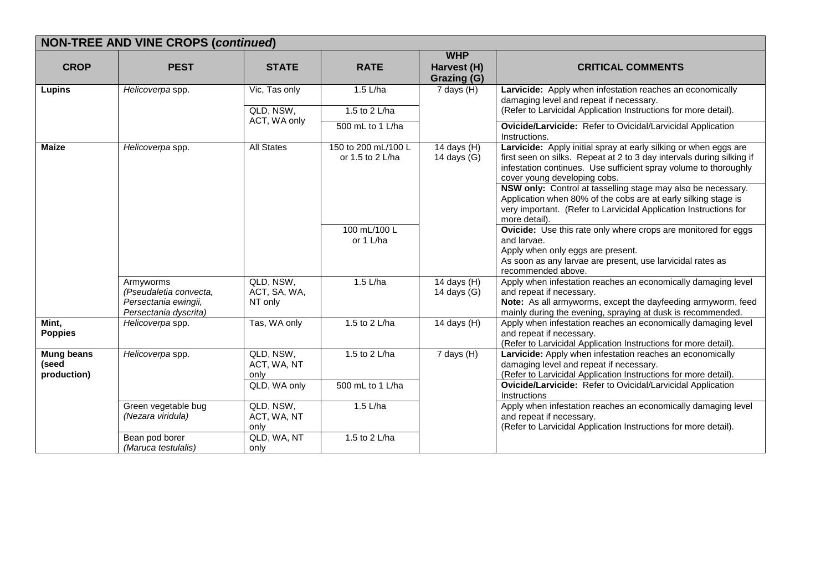|                                           | <b>NON-TREE AND VINE CROPS (continued)</b>                                           |                                            |                                               |                                          |                                                                                                                                                                                                                                                                                                                                                                                                                                                      |  |  |
|-------------------------------------------|--------------------------------------------------------------------------------------|--------------------------------------------|-----------------------------------------------|------------------------------------------|------------------------------------------------------------------------------------------------------------------------------------------------------------------------------------------------------------------------------------------------------------------------------------------------------------------------------------------------------------------------------------------------------------------------------------------------------|--|--|
| <b>CROP</b>                               | <b>PEST</b>                                                                          | <b>STATE</b>                               | <b>RATE</b>                                   | <b>WHP</b><br>Harvest (H)<br>Grazing (G) | <b>CRITICAL COMMENTS</b>                                                                                                                                                                                                                                                                                                                                                                                                                             |  |  |
| <b>Lupins</b>                             | Helicoverpa spp.                                                                     | Vic, Tas only<br>QLD, NSW,<br>ACT, WA only | 1.5 L/ha<br>1.5 to 2 L/ha<br>500 mL to 1 L/ha | $7$ days $(H)$                           | Larvicide: Apply when infestation reaches an economically<br>damaging level and repeat if necessary.<br>(Refer to Larvicidal Application Instructions for more detail).<br>Ovicide/Larvicide: Refer to Ovicidal/Larvicidal Application<br>Instructions.                                                                                                                                                                                              |  |  |
| <b>Maize</b>                              | Helicoverpa spp.                                                                     | <b>All States</b>                          | 150 to 200 mL/100 L<br>or 1.5 to 2 L/ha       | 14 days (H)<br>14 days $(G)$             | Larvicide: Apply initial spray at early silking or when eggs are<br>first seen on silks. Repeat at 2 to 3 day intervals during silking if<br>infestation continues. Use sufficient spray volume to thoroughly<br>cover young developing cobs.<br>NSW only: Control at tasselling stage may also be necessary.<br>Application when 80% of the cobs are at early silking stage is<br>very important. (Refer to Larvicidal Application Instructions for |  |  |
|                                           |                                                                                      |                                            | 100 mL/100 L<br>or 1 L/ha                     |                                          | more detail).<br><b>Ovicide:</b> Use this rate only where crops are monitored for eggs<br>and larvae.<br>Apply when only eggs are present.<br>As soon as any larvae are present, use larvicidal rates as<br>recommended above.                                                                                                                                                                                                                       |  |  |
|                                           | Armyworms<br>(Pseudaletia convecta,<br>Persectania ewingii,<br>Persectania dyscrita) | QLD, NSW,<br>ACT, SA, WA,<br>NT only       | 1.5 L/ha                                      | 14 days (H)<br>14 days (G)               | Apply when infestation reaches an economically damaging level<br>and repeat if necessary.<br>Note: As all armyworms, except the dayfeeding armyworm, feed<br>mainly during the evening, spraying at dusk is recommended.                                                                                                                                                                                                                             |  |  |
| Mint,<br><b>Poppies</b>                   | Helicoverpa spp.                                                                     | Tas, WA only                               | 1.5 to 2 L/ha                                 | 14 days $(H)$                            | Apply when infestation reaches an economically damaging level<br>and repeat if necessary.<br>(Refer to Larvicidal Application Instructions for more detail).                                                                                                                                                                                                                                                                                         |  |  |
| <b>Mung beans</b><br>(seed<br>production) | Helicoverpa spp.                                                                     | QLD, NSW,<br>ACT, WA, NT<br>only           | 1.5 to 2 L/ha                                 | 7 days (H)                               | Larvicide: Apply when infestation reaches an economically<br>damaging level and repeat if necessary.<br>(Refer to Larvicidal Application Instructions for more detail).                                                                                                                                                                                                                                                                              |  |  |
|                                           |                                                                                      | QLD, WA only                               | 500 mL to 1 L/ha                              |                                          | Ovicide/Larvicide: Refer to Ovicidal/Larvicidal Application<br>Instructions                                                                                                                                                                                                                                                                                                                                                                          |  |  |
|                                           | Green vegetable bug<br>(Nezara viridula)                                             | QLD, NSW,<br>ACT, WA, NT<br>only           | $1.5$ L/ha                                    |                                          | Apply when infestation reaches an economically damaging level<br>and repeat if necessary.<br>(Refer to Larvicidal Application Instructions for more detail).                                                                                                                                                                                                                                                                                         |  |  |
|                                           | Bean pod borer<br>(Maruca testulalis)                                                | QLD, WA, NT<br>only                        | 1.5 to 2 L/ha                                 |                                          |                                                                                                                                                                                                                                                                                                                                                                                                                                                      |  |  |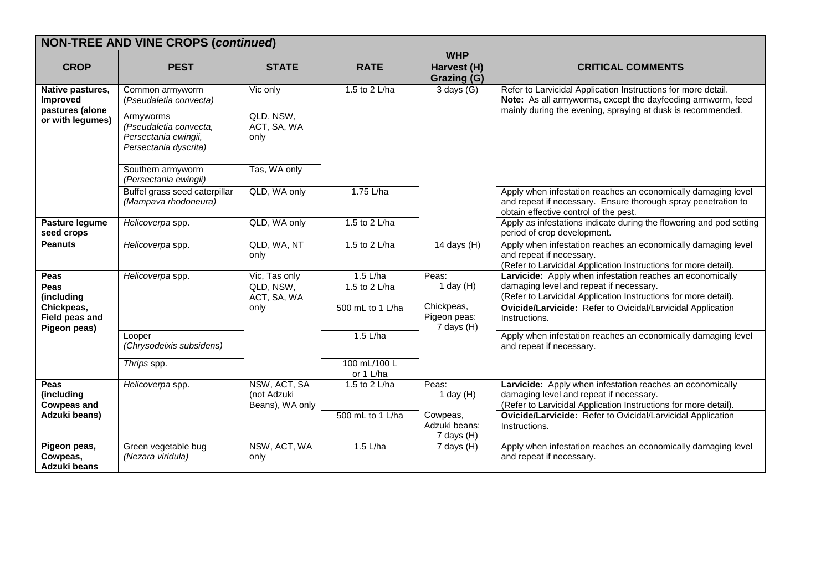|                                              | <b>NON-TREE AND VINE CROPS (continued)</b>                                           |                                                |                           |                                          |                                                                                                                                                                         |  |  |  |  |
|----------------------------------------------|--------------------------------------------------------------------------------------|------------------------------------------------|---------------------------|------------------------------------------|-------------------------------------------------------------------------------------------------------------------------------------------------------------------------|--|--|--|--|
| <b>CROP</b>                                  | <b>PEST</b>                                                                          | <b>STATE</b>                                   | <b>RATE</b>               | <b>WHP</b><br>Harvest (H)<br>Grazing (G) | <b>CRITICAL COMMENTS</b>                                                                                                                                                |  |  |  |  |
| Native pastures,<br><b>Improved</b>          | Common armyworm<br>(Pseudaletia convecta)                                            | Vic only                                       | 1.5 to 2 L/ha             | 3 days $(\overline{G)}$                  | Refer to Larvicidal Application Instructions for more detail.<br>Note: As all armyworms, except the dayfeeding armworm, feed                                            |  |  |  |  |
| pastures (alone<br>or with legumes)          | Armyworms<br>(Pseudaletia convecta,<br>Persectania ewingii,<br>Persectania dyscrita) | QLD, NSW,<br>ACT, SA, WA<br>only               |                           |                                          | mainly during the evening, spraying at dusk is recommended.                                                                                                             |  |  |  |  |
|                                              | Southern armyworm<br>(Persectania ewingii)                                           | Tas, WA only                                   |                           |                                          |                                                                                                                                                                         |  |  |  |  |
|                                              | Buffel grass seed caterpillar<br>(Mampava rhodoneura)                                | QLD, WA only                                   | 1.75 L/ha                 |                                          | Apply when infestation reaches an economically damaging level<br>and repeat if necessary. Ensure thorough spray penetration to<br>obtain effective control of the pest. |  |  |  |  |
| Pasture legume<br>seed crops                 | Helicoverpa spp.                                                                     | QLD, WA only                                   | 1.5 to 2 L/ha             |                                          | Apply as infestations indicate during the flowering and pod setting<br>period of crop development.                                                                      |  |  |  |  |
| <b>Peanuts</b>                               | Helicoverpa spp.                                                                     | QLD, WA, NT<br>only                            | 1.5 to 2 L/ha             | 14 days $(H)$                            | Apply when infestation reaches an economically damaging level<br>and repeat if necessary.<br>(Refer to Larvicidal Application Instructions for more detail).            |  |  |  |  |
| Peas                                         | Helicoverpa spp.                                                                     | Vic, Tas only                                  | $1.5$ L/ha                | Peas:                                    | Larvicide: Apply when infestation reaches an economically                                                                                                               |  |  |  |  |
| <b>Peas</b><br>(including                    |                                                                                      | QLD, NSW,<br>ACT, SA, WA                       | 1.5 to 2 L/ha             | 1 day $(H)$                              | damaging level and repeat if necessary.<br>(Refer to Larvicidal Application Instructions for more detail).                                                              |  |  |  |  |
| Chickpeas,<br>Field peas and<br>Pigeon peas) |                                                                                      | only                                           | 500 mL to 1 L/ha          | Chickpeas,<br>Pigeon peas:<br>7 days (H) | Ovicide/Larvicide: Refer to Ovicidal/Larvicidal Application<br>Instructions.                                                                                            |  |  |  |  |
|                                              | Looper<br>(Chrysodeixis subsidens)                                                   |                                                | $1.5$ L/ha                |                                          | Apply when infestation reaches an economically damaging level<br>and repeat if necessary.                                                                               |  |  |  |  |
|                                              | Thrips spp.                                                                          |                                                | 100 mL/100 L<br>or 1 L/ha |                                          |                                                                                                                                                                         |  |  |  |  |
| Peas<br>(including<br><b>Cowpeas and</b>     | Helicoverpa spp.                                                                     | NSW, ACT, SA<br>(not Adzuki<br>Beans), WA only | 1.5 to 2 L/ha             | Peas:<br>1 day $(H)$                     | Larvicide: Apply when infestation reaches an economically<br>damaging level and repeat if necessary.<br>(Refer to Larvicidal Application Instructions for more detail). |  |  |  |  |
| Adzuki beans)                                |                                                                                      |                                                | 500 mL to 1 L/ha          | Cowpeas,<br>Adzuki beans:<br>7 days (H)  | Ovicide/Larvicide: Refer to Ovicidal/Larvicidal Application<br>Instructions.                                                                                            |  |  |  |  |
| Pigeon peas,<br>Cowpeas,<br>Adzuki beans     | Green vegetable bug<br>(Nezara viridula)                                             | NSW, ACT, WA<br>only                           | $1.5$ L/ha                | $7$ days $(H)$                           | Apply when infestation reaches an economically damaging level<br>and repeat if necessary.                                                                               |  |  |  |  |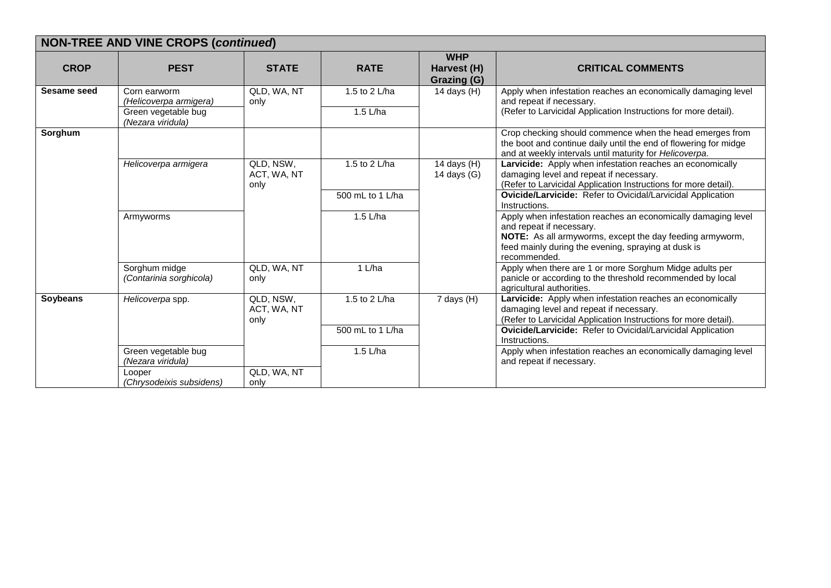| <b>NON-TREE AND VINE CROPS (continued)</b> |                                                                                    |                                  |                           |                                          |                                                                                                                                                                                                                              |  |  |  |
|--------------------------------------------|------------------------------------------------------------------------------------|----------------------------------|---------------------------|------------------------------------------|------------------------------------------------------------------------------------------------------------------------------------------------------------------------------------------------------------------------------|--|--|--|
| <b>CROP</b>                                | <b>PEST</b>                                                                        | <b>STATE</b>                     | <b>RATE</b>               | <b>WHP</b><br>Harvest (H)<br>Grazing (G) | <b>CRITICAL COMMENTS</b>                                                                                                                                                                                                     |  |  |  |
| <b>Sesame seed</b>                         | Corn earworm<br>(Helicoverpa armigera)<br>Green vegetable bug<br>(Nezara viridula) | QLD, WA, NT<br>only              | 1.5 to 2 L/ha<br>1.5 L/ha | 14 days $(H)$                            | Apply when infestation reaches an economically damaging level<br>and repeat if necessary.<br>(Refer to Larvicidal Application Instructions for more detail).                                                                 |  |  |  |
| Sorghum                                    |                                                                                    |                                  |                           |                                          | Crop checking should commence when the head emerges from<br>the boot and continue daily until the end of flowering for midge<br>and at weekly intervals until maturity for Helicoverpa.                                      |  |  |  |
|                                            | Helicoverpa armigera                                                               | QLD, NSW,<br>ACT, WA, NT<br>only | 1.5 to 2 L/ha             | 14 days $(H)$<br>14 days $(G)$           | Larvicide: Apply when infestation reaches an economically<br>damaging level and repeat if necessary.<br>(Refer to Larvicidal Application Instructions for more detail).                                                      |  |  |  |
|                                            |                                                                                    |                                  | 500 mL to 1 L/ha          |                                          | <b>Ovicide/Larvicide:</b> Refer to Ovicidal/Larvicidal Application<br>Instructions.                                                                                                                                          |  |  |  |
|                                            | Armyworms                                                                          |                                  | 1.5 L/ha                  |                                          | Apply when infestation reaches an economically damaging level<br>and repeat if necessary.<br>NOTE: As all armyworms, except the day feeding armyworm,<br>feed mainly during the evening, spraying at dusk is<br>recommended. |  |  |  |
|                                            | Sorghum midge<br>(Contarinia sorghicola)                                           | QLD, WA, NT<br>only              | 1 L/ha                    |                                          | Apply when there are 1 or more Sorghum Midge adults per<br>panicle or according to the threshold recommended by local<br>agricultural authorities.                                                                           |  |  |  |
| Soybeans                                   | Helicoverpa spp.                                                                   | QLD, NSW,<br>ACT, WA, NT<br>only | 1.5 to 2 L/ha             | 7 days (H)                               | Larvicide: Apply when infestation reaches an economically<br>damaging level and repeat if necessary.<br>(Refer to Larvicidal Application Instructions for more detail).                                                      |  |  |  |
|                                            |                                                                                    |                                  | 500 mL to 1 L/ha          |                                          | Ovicide/Larvicide: Refer to Ovicidal/Larvicidal Application<br>Instructions.                                                                                                                                                 |  |  |  |
|                                            | Green vegetable bug<br>(Nezara viridula)                                           |                                  | 1.5 L/ha                  |                                          | Apply when infestation reaches an economically damaging level<br>and repeat if necessary.                                                                                                                                    |  |  |  |
|                                            | Looper<br>(Chrysodeixis subsidens)                                                 | QLD, WA, NT<br>only              |                           |                                          |                                                                                                                                                                                                                              |  |  |  |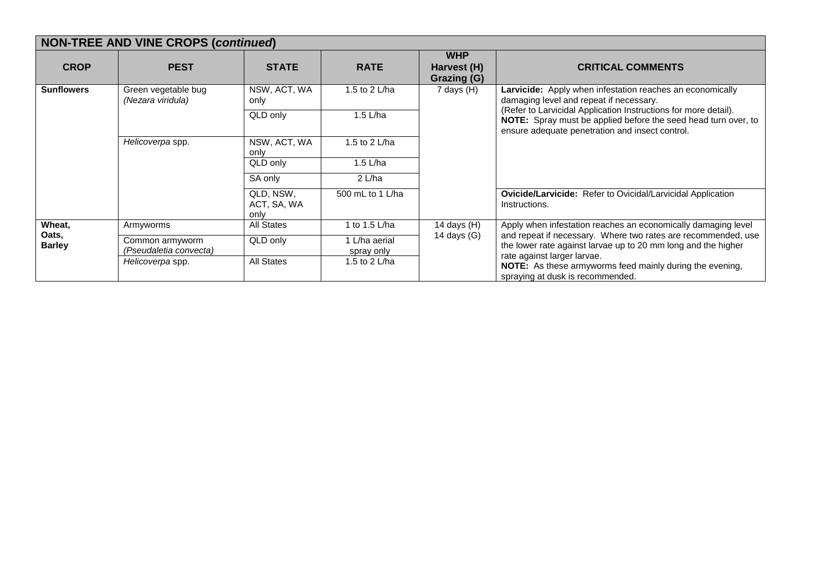| <b>NON-TREE AND VINE CROPS (continued)</b> |                                           |                                  |                             |                                                 |                                                                                                                                                                                                                                                                                                     |  |  |
|--------------------------------------------|-------------------------------------------|----------------------------------|-----------------------------|-------------------------------------------------|-----------------------------------------------------------------------------------------------------------------------------------------------------------------------------------------------------------------------------------------------------------------------------------------------------|--|--|
| <b>CROP</b>                                | <b>PEST</b>                               | <b>STATE</b>                     | <b>RATE</b>                 | <b>WHP</b><br>Harvest (H)<br><b>Grazing (G)</b> | <b>CRITICAL COMMENTS</b>                                                                                                                                                                                                                                                                            |  |  |
| <b>Sunflowers</b>                          | Green vegetable bug<br>(Nezara viridula)  | NSW, ACT, WA<br>only             | 1.5 to 2 L/ha               | 7 days (H)                                      | <b>Larvicide:</b> Apply when infestation reaches an economically<br>damaging level and repeat if necessary.<br>(Refer to Larvicidal Application Instructions for more detail).<br>NOTE: Spray must be applied before the seed head turn over, to<br>ensure adequate penetration and insect control. |  |  |
|                                            |                                           | QLD only                         | 1.5 $L/ha$                  |                                                 |                                                                                                                                                                                                                                                                                                     |  |  |
|                                            | Helicoverpa spp.                          | NSW, ACT, WA<br>only             | 1.5 to 2 L/ha               |                                                 |                                                                                                                                                                                                                                                                                                     |  |  |
|                                            |                                           | QLD only                         | 1.5 $L/ha$                  |                                                 |                                                                                                                                                                                                                                                                                                     |  |  |
|                                            |                                           | SA only                          | 2 L/ha                      |                                                 |                                                                                                                                                                                                                                                                                                     |  |  |
|                                            |                                           | QLD, NSW,<br>ACT, SA, WA<br>only | 500 mL to 1 L/ha            |                                                 | Ovicide/Larvicide: Refer to Ovicidal/Larvicidal Application<br>Instructions.                                                                                                                                                                                                                        |  |  |
| Wheat,                                     | Armyworms                                 | All States                       | 1 to 1.5 L/ha               | 14 days $(H)$                                   | Apply when infestation reaches an economically damaging level                                                                                                                                                                                                                                       |  |  |
| Oats,<br><b>Barley</b>                     | Common armyworm<br>(Pseudaletia convecta) | QLD only                         | 1 L/ha aerial<br>spray only | 14 days (G)                                     | and repeat if necessary. Where two rates are recommended, use<br>the lower rate against larvae up to 20 mm long and the higher<br>rate against larger larvae.                                                                                                                                       |  |  |
|                                            | Helicoverpa spp.                          | <b>All States</b>                | 1.5 to 2 L/ha               |                                                 | <b>NOTE:</b> As these armyworms feed mainly during the evening,<br>spraying at dusk is recommended.                                                                                                                                                                                                 |  |  |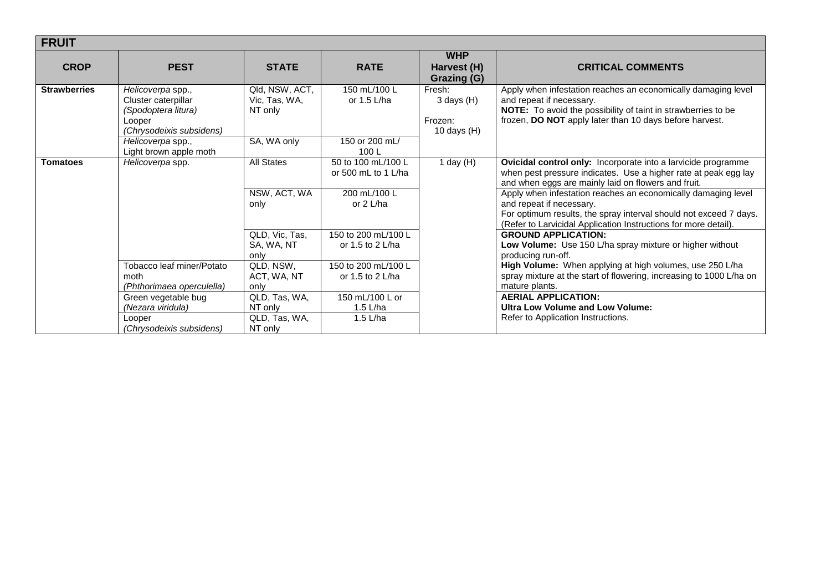| <b>FRUIT</b>        |                                                                                                                                                      |                                                                                          |                                                                                                                       |                                                      |                                                                                                                                                                                                                                                                                                                                                                                                                                                                                                                                              |  |  |
|---------------------|------------------------------------------------------------------------------------------------------------------------------------------------------|------------------------------------------------------------------------------------------|-----------------------------------------------------------------------------------------------------------------------|------------------------------------------------------|----------------------------------------------------------------------------------------------------------------------------------------------------------------------------------------------------------------------------------------------------------------------------------------------------------------------------------------------------------------------------------------------------------------------------------------------------------------------------------------------------------------------------------------------|--|--|
| <b>CROP</b>         | <b>PEST</b>                                                                                                                                          | <b>STATE</b>                                                                             | <b>RATE</b>                                                                                                           | <b>WHP</b><br>Harvest (H)<br>Grazing (G)             | <b>CRITICAL COMMENTS</b>                                                                                                                                                                                                                                                                                                                                                                                                                                                                                                                     |  |  |
| <b>Strawberries</b> | Helicoverpa spp.,<br>Cluster caterpillar<br>(Spodoptera litura)<br>Looper<br>(Chrysodeixis subsidens)<br>Helicoverpa spp.,<br>Light brown apple moth | Qld, NSW, ACT,<br>Vic, Tas, WA,<br>NT only<br>SA, WA only                                | 150 mL/100 L<br>or 1.5 L/ha<br>150 or 200 mL/<br>100L                                                                 | Fresh:<br>$3$ days $(H)$<br>Frozen:<br>10 days $(H)$ | Apply when infestation reaches an economically damaging level<br>and repeat if necessary.<br>NOTE: To avoid the possibility of taint in strawberries to be<br>frozen, DO NOT apply later than 10 days before harvest.                                                                                                                                                                                                                                                                                                                        |  |  |
| <b>Tomatoes</b>     | Helicoverpa spp.                                                                                                                                     | All States<br>NSW, ACT, WA<br>only<br>QLD, Vic, Tas,<br>SA, WA, NT<br>only               | 50 to 100 mL/100 L<br>or 500 mL to 1 L/ha<br>200 mL/100 L<br>or $2$ L/ha<br>150 to 200 mL/100 L<br>or 1.5 to 2 $L/ha$ | 1 day $(H)$                                          | Ovicidal control only: Incorporate into a larvicide programme<br>when pest pressure indicates. Use a higher rate at peak egg lay<br>and when eggs are mainly laid on flowers and fruit.<br>Apply when infestation reaches an economically damaging level<br>and repeat if necessary.<br>For optimum results, the spray interval should not exceed 7 days.<br>(Refer to Larvicidal Application Instructions for more detail).<br><b>GROUND APPLICATION:</b><br>Low Volume: Use 150 L/ha spray mixture or higher without<br>producing run-off. |  |  |
|                     | Tobacco leaf miner/Potato<br>moth<br>(Phthorimaea operculella)<br>Green vegetable bug<br>(Nezara viridula)<br>Looper<br>(Chrysodeixis subsidens)     | QLD, NSW,<br>ACT, WA, NT<br>only<br>QLD, Tas, WA,<br>NT only<br>QLD, Tas, WA,<br>NT only | 150 to 200 mL/100 L<br>or 1.5 to 2 L/ha<br>150 mL/100 L or<br>1.5 $L/ha$<br>1.5 $L/ha$                                |                                                      | High Volume: When applying at high volumes, use 250 L/ha<br>spray mixture at the start of flowering, increasing to 1000 L/ha on<br>mature plants.<br><b>AERIAL APPLICATION:</b><br><b>Ultra Low Volume and Low Volume:</b><br>Refer to Application Instructions.                                                                                                                                                                                                                                                                             |  |  |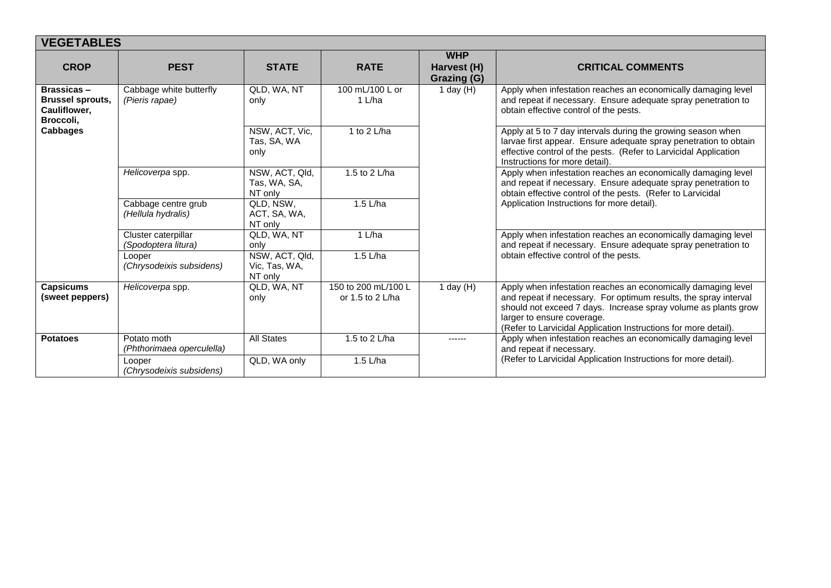| <b>VEGETABLES</b>                                                                            |                                            |                                            |                                           |                                          |                                                                                                                                                                                                                                                                                                      |  |  |
|----------------------------------------------------------------------------------------------|--------------------------------------------|--------------------------------------------|-------------------------------------------|------------------------------------------|------------------------------------------------------------------------------------------------------------------------------------------------------------------------------------------------------------------------------------------------------------------------------------------------------|--|--|
| <b>CROP</b>                                                                                  | <b>PEST</b>                                | <b>STATE</b>                               | <b>RATE</b>                               | <b>WHP</b><br>Harvest (H)<br>Grazing (G) | <b>CRITICAL COMMENTS</b>                                                                                                                                                                                                                                                                             |  |  |
| <b>Brassicas-</b><br><b>Brussel sprouts,</b><br>Cauliflower,<br>Broccoli,<br><b>Cabbages</b> | Cabbage white butterfly<br>(Pieris rapae)  | QLD, WA, NT<br>only                        | 100 mL/100 L or<br>1 L/ha                 | 1 day $(H)$                              | Apply when infestation reaches an economically damaging level<br>and repeat if necessary. Ensure adequate spray penetration to<br>obtain effective control of the pests.                                                                                                                             |  |  |
|                                                                                              |                                            | NSW, ACT, Vic,<br>Tas, SA, WA<br>only      | 1 to 2 L/ha                               |                                          | Apply at 5 to 7 day intervals during the growing season when<br>larvae first appear. Ensure adequate spray penetration to obtain<br>effective control of the pests. (Refer to Larvicidal Application<br>Instructions for more detail).                                                               |  |  |
|                                                                                              | Helicoverpa spp.                           | NSW, ACT, Qld,<br>Tas, WA, SA,<br>NT only  | 1.5 to 2 L/ha                             |                                          | Apply when infestation reaches an economically damaging level<br>and repeat if necessary. Ensure adequate spray penetration to<br>obtain effective control of the pests. (Refer to Larvicidal                                                                                                        |  |  |
|                                                                                              | Cabbage centre grub<br>(Hellula hydralis)  | QLD, NSW,<br>ACT, SA, WA,<br>NT only       | $1.5$ L/ha                                |                                          | Application Instructions for more detail).                                                                                                                                                                                                                                                           |  |  |
|                                                                                              | Cluster caterpillar<br>(Spodoptera litura) | QLD, WA, NT<br>only                        | 1 L/ha                                    |                                          | Apply when infestation reaches an economically damaging level<br>and repeat if necessary. Ensure adequate spray penetration to                                                                                                                                                                       |  |  |
|                                                                                              | Looper<br>(Chrysodeixis subsidens)         | NSW, ACT, Qld,<br>Vic, Tas, WA,<br>NT only | 1.5 L/ha                                  |                                          | obtain effective control of the pests.                                                                                                                                                                                                                                                               |  |  |
| <b>Capsicums</b><br>(sweet peppers)                                                          | Helicoverpa spp.                           | QLD, WA, NT<br>only                        | 150 to 200 mL/100 L<br>or 1.5 to 2 $L/ha$ | 1 day $(H)$                              | Apply when infestation reaches an economically damaging level<br>and repeat if necessary. For optimum results, the spray interval<br>should not exceed 7 days. Increase spray volume as plants grow<br>larger to ensure coverage.<br>(Refer to Larvicidal Application Instructions for more detail). |  |  |
| <b>Potatoes</b>                                                                              | Potato moth<br>(Phthorimaea operculella)   | <b>All States</b>                          | 1.5 to 2 L/ha                             | ------                                   | Apply when infestation reaches an economically damaging level<br>and repeat if necessary.                                                                                                                                                                                                            |  |  |
|                                                                                              | Looper<br>(Chrysodeixis subsidens)         | QLD, WA only                               | 1.5 $L/ha$                                |                                          | (Refer to Larvicidal Application Instructions for more detail).                                                                                                                                                                                                                                      |  |  |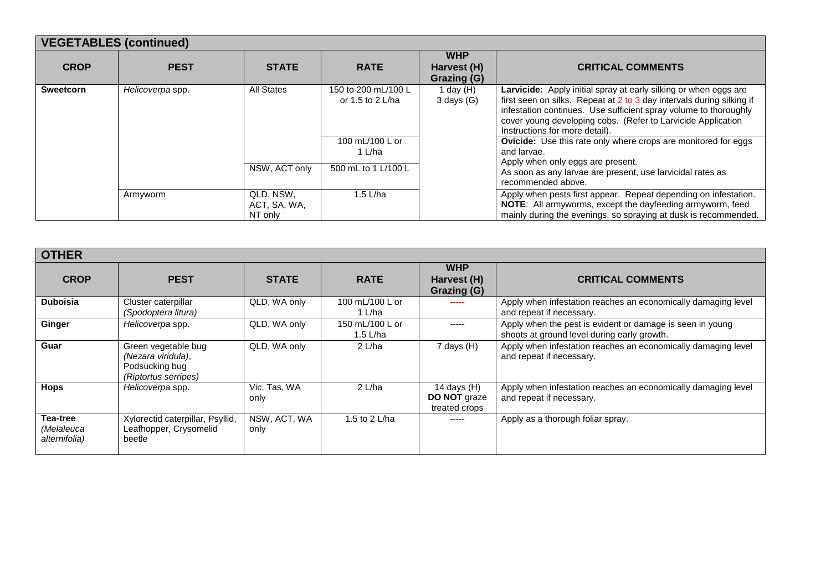| <b>VEGETABLES (continued)</b> |                  |                                      |                                         |                                          |                                                                                                                                                                                                                                                                                                                 |  |  |  |
|-------------------------------|------------------|--------------------------------------|-----------------------------------------|------------------------------------------|-----------------------------------------------------------------------------------------------------------------------------------------------------------------------------------------------------------------------------------------------------------------------------------------------------------------|--|--|--|
| <b>CROP</b>                   | <b>PEST</b>      | <b>STATE</b>                         | <b>RATE</b>                             | <b>WHP</b><br>Harvest (H)<br>Grazing (G) | <b>CRITICAL COMMENTS</b>                                                                                                                                                                                                                                                                                        |  |  |  |
| <b>Sweetcorn</b>              | Helicoverpa spp. | <b>All States</b>                    | 150 to 200 mL/100 L<br>or 1.5 to 2 L/ha | 1 day $(H)$<br>$3$ days $(G)$            | Larvicide: Apply initial spray at early silking or when eggs are<br>first seen on silks. Repeat at 2 to 3 day intervals during silking if<br>infestation continues. Use sufficient spray volume to thoroughly<br>cover young developing cobs. (Refer to Larvicide Application<br>Instructions for more detail). |  |  |  |
|                               |                  |                                      | 100 mL/100 L or<br>1 L/ha               |                                          | <b>Ovicide:</b> Use this rate only where crops are monitored for eggs<br>and larvae.<br>Apply when only eggs are present.                                                                                                                                                                                       |  |  |  |
|                               |                  | NSW, ACT only                        | 500 mL to 1 L/100 L                     |                                          | As soon as any larvae are present, use larvicidal rates as<br>recommended above.                                                                                                                                                                                                                                |  |  |  |
|                               | Armyworm         | QLD, NSW,<br>ACT, SA, WA,<br>NT only | 1.5 $L/ha$                              |                                          | Apply when pests first appear. Repeat depending on infestation.<br><b>NOTE:</b> All armyworms, except the dayfeeding armyworm, feed<br>mainly during the evenings, so spraying at dusk is recommended.                                                                                                          |  |  |  |

| <b>OTHER</b>                            |                                                                                     |                      |                               |                                                       |                                                                                                          |  |  |
|-----------------------------------------|-------------------------------------------------------------------------------------|----------------------|-------------------------------|-------------------------------------------------------|----------------------------------------------------------------------------------------------------------|--|--|
| <b>CROP</b>                             | <b>PEST</b>                                                                         | <b>STATE</b>         | <b>RATE</b>                   | <b>WHP</b><br>Harvest (H)<br>Grazing (G)              | <b>CRITICAL COMMENTS</b>                                                                                 |  |  |
| <b>Duboisia</b>                         | Cluster caterpillar<br>(Spodoptera litura)                                          | QLD, WA only         | 100 mL/100 L or<br>1 L/ha     |                                                       | Apply when infestation reaches an economically damaging level<br>and repeat if necessary.                |  |  |
| Ginger                                  | Helicoverpa spp.                                                                    | QLD, WA only         | 150 mL/100 L or<br>1.5 $L/ha$ | -----                                                 | Apply when the pest is evident or damage is seen in young<br>shoots at ground level during early growth. |  |  |
| Guar                                    | Green vegetable bug<br>(Nezara viridula),<br>Podsucking bug<br>(Riptortus serripes) | QLD, WA only         | $2$ L/ha                      | 7 days (H)                                            | Apply when infestation reaches an economically damaging level<br>and repeat if necessary.                |  |  |
| <b>Hops</b>                             | Helicoverpa spp.                                                                    | Vic, Tas, WA<br>only | $2$ L/ha                      | 14 days $(H)$<br><b>DO NOT</b> graze<br>treated crops | Apply when infestation reaches an economically damaging level<br>and repeat if necessary.                |  |  |
| Tea-tree<br>(Melaleuca<br>alternifolia) | Xylorectid caterpillar, Psyllid,<br>Leafhopper, Crysomelid<br>beetle                | NSW, ACT, WA<br>only | 1.5 to 2 L/ha                 | $- - - - -$                                           | Apply as a thorough foliar spray.                                                                        |  |  |